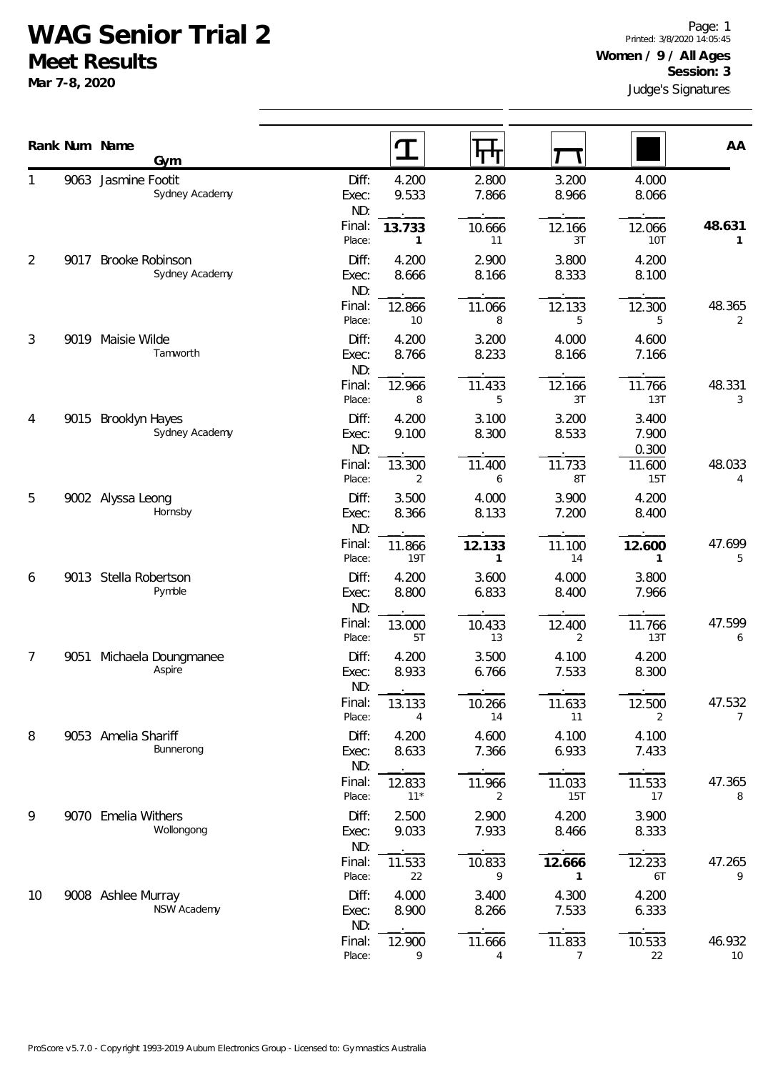## **WAG Senior Trial 2**

**Meet Results**

**Mar 7-8, 2020**

|    |      | Rank Num Name                            |                  | I               |                          |                          |                 | AA          |
|----|------|------------------------------------------|------------------|-----------------|--------------------------|--------------------------|-----------------|-------------|
|    |      | Gym                                      |                  |                 | पग                       |                          |                 |             |
|    |      | 9063 Jasmine Footit<br>Sydney Academy    | Diff:            | 4.200           | 2.800                    | 3.200                    | 4.000           |             |
|    |      |                                          | Exec:<br>ND:     | 9.533           | 7.866                    | 8.966                    | 8.066           |             |
|    |      |                                          | Final:           | 13.733          | 10.666                   | 12.166                   | 12.066          | 48.631      |
|    |      |                                          | Place:           | 1               | 11                       | 3T                       | <b>10T</b>      | 1           |
| 2  | 9017 | <b>Brooke Robinson</b><br>Sydney Academy | Diff:            | 4.200           | 2.900                    | 3.800                    | 4.200           |             |
|    |      |                                          | Exec:<br>ND:     | 8.666           | 8.166                    | 8.333                    | 8.100           |             |
|    |      |                                          | Final:           | 12.866          | 11.066                   | 12.133                   | 12.300          | 48.365      |
|    |      |                                          | Place:           | 10              | 8                        | 5                        | 5               | 2           |
| 3  |      | 9019 Maisie Wilde                        | Diff:            | 4.200           | 3.200                    | 4.000                    | 4.600           |             |
|    |      | Tamworth                                 | Exec:<br>ND:     | 8.766           | 8.233                    | 8.166                    | 7.166           |             |
|    |      |                                          | Final:           | 12.966          | 11.433                   | 12.166                   | 11.766          | 48.331      |
|    |      |                                          | Place:           | 8               | 5                        | 3T                       | 13T             | 3           |
| 4  | 9015 | <b>Brooklyn Hayes</b>                    | Diff:            | 4.200           | 3.100                    | 3.200                    | 3.400           |             |
|    |      | Sydney Academy                           | Exec:            | 9.100           | 8.300                    | 8.533                    | 7.900           |             |
|    |      |                                          | ND:<br>Final:    | 13.300          | 11.400                   | 11.733                   | 0.300<br>11.600 | 48.033      |
|    |      |                                          | Place:           | 2               | 6                        | 8T                       | 15T             | 4           |
| 5  |      | 9002 Alyssa Leong                        | Diff:            | 3.500           | 4.000                    | 3.900                    | 4.200           |             |
|    |      | Hornsby                                  | Exec:            | 8.366           | 8.133                    | 7.200                    | 8.400           |             |
|    |      |                                          | ND:<br>Final:    | 11.866          | 12.133                   | 11.100                   | 12.600          | 47.699      |
|    |      |                                          | Place:           | 19T             | 1                        | 14                       | 1               | 5           |
| 6  | 9013 | Stella Robertson                         | Diff:            | 4.200           | 3.600                    | 4.000                    | 3.800           |             |
|    |      | Pymble                                   | Exec:            | 8.800           | 6.833                    | 8.400                    | 7.966           |             |
|    |      |                                          | ND:<br>Final:    |                 |                          |                          |                 | 47.599      |
|    |      |                                          | Place:           | 13.000<br>5T    | 10.433<br>13             | 12.400<br>$\overline{2}$ | 11.766<br>13T   | 6           |
| 7  | 9051 | Michaela Doungmanee                      | Diff:            | 4.200           | 3.500                    | 4.100                    | 4.200           |             |
|    |      | Aspire                                   | Exec:            | 8.933           | 6.766                    | 7.533                    | 8.300           |             |
|    |      |                                          | ND:              |                 |                          |                          |                 |             |
|    |      |                                          | Final:<br>Place: | 13.133<br>4     | 10.266<br>14             | 11.633<br>11             | 12.500<br>2     | 47.532<br>7 |
| 8  |      | 9053 Amelia Shariff                      | Diff:            | 4.200           | 4.600                    | 4.100                    | 4.100           |             |
|    |      | Bunnerong                                | Exec:            | 8.633           | 7.366                    | 6.933                    | 7.433           |             |
|    |      |                                          | ND:              |                 |                          |                          |                 |             |
|    |      |                                          | Final:<br>Place: | 12.833<br>$11*$ | 11.966<br>$\overline{2}$ | 11.033<br><b>15T</b>     | 11.533<br>17    | 47.365<br>8 |
| 9  |      | 9070 Emelia Withers                      | Diff:            | 2.500           | 2.900                    | 4.200                    | 3.900           |             |
|    |      | Wollongong                               | Exec:            | 9.033           | 7.933                    | 8.466                    | 8.333           |             |
|    |      |                                          | ND:              |                 |                          |                          |                 |             |
|    |      |                                          | Final:           | 11.533          | 10.833<br>9              | 12.666<br>$\mathbf{1}$   | 12.233<br>6T    | 47.265<br>9 |
| 10 |      | 9008 Ashlee Murray                       | Place:<br>Diff:  | 22<br>4.000     | 3.400                    | 4.300                    | 4.200           |             |
|    |      | NSW Academy                              | Exec:            | 8.900           | 8.266                    | 7.533                    | 6.333           |             |
|    |      |                                          | ND:              |                 |                          |                          |                 |             |
|    |      |                                          | Final:           | 12.900          | 11.666                   | 11.833                   | 10.533          | 46.932      |
|    |      |                                          | Place:           | 9               | 4                        | $\overline{7}$           | 22              | 10          |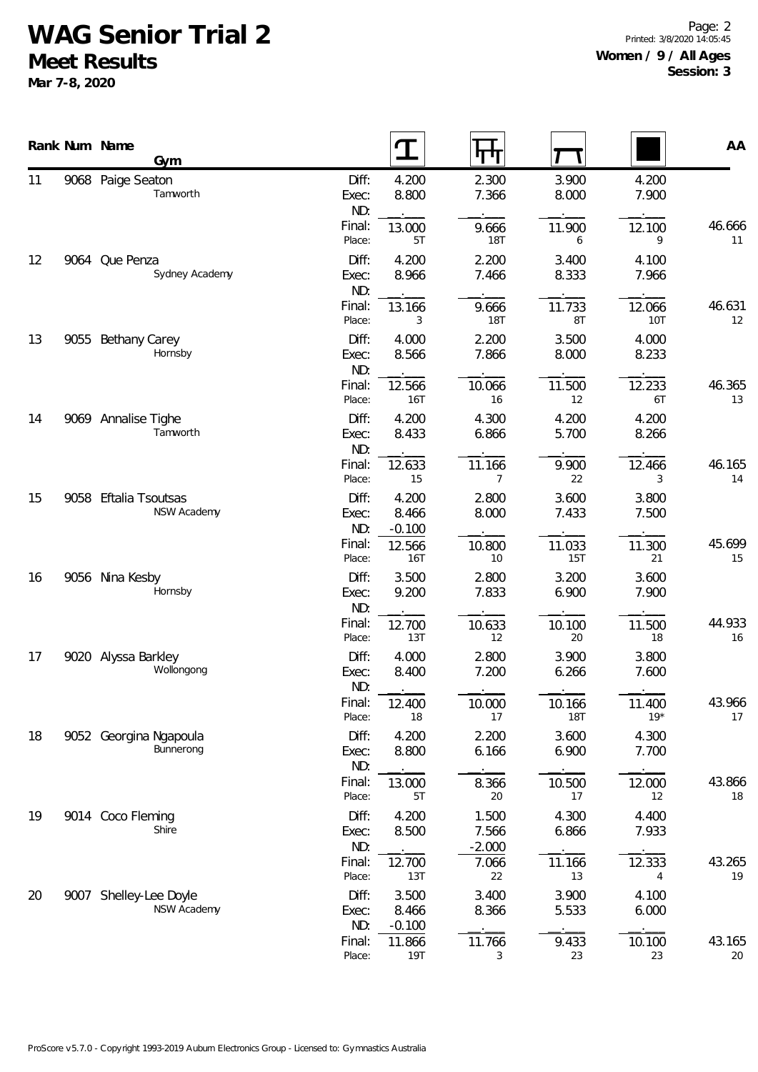## **WAG Senior Trial 2**

**Meet Results**

**Mar 7-8, 2020**

|                | Rank Num Name<br>Gym                  |                       |                            | पण                         |                      |                 | AA           |
|----------------|---------------------------------------|-----------------------|----------------------------|----------------------------|----------------------|-----------------|--------------|
| 11             | 9068 Paige Seaton<br>Tamworth         | Diff:<br>Exec:<br>ND: | 4.200<br>8.800             | 2.300<br>7.366             | 3.900<br>8.000       | 4.200<br>7.900  |              |
|                |                                       | Final:<br>Place:      | 13.000<br>5T               | 9.666<br><b>18T</b>        | 11.900<br>6          | 12.100<br>9     | 46.666<br>11 |
| 12             | 9064 Que Penza<br>Sydney Academy      | Diff:<br>Exec:<br>ND: | 4.200<br>8.966             | 2.200<br>7.466             | 3.400<br>8.333       | 4.100<br>7.966  |              |
|                |                                       | Final:<br>Place:      | 13.166<br>3                | 9.666<br><b>18T</b>        | 11.733<br>8T         | 12.066<br>10T   | 46.631<br>12 |
| 13             | 9055 Bethany Carey<br>Hornsby         | Diff:<br>Exec:<br>ND: | 4.000<br>8.566             | 2.200<br>7.866             | 3.500<br>8.000       | 4.000<br>8.233  |              |
|                |                                       | Final:<br>Place:      | 12.566<br>16T              | 10.066<br>16               | 11.500<br>12         | 12.233<br>6T    | 46.365<br>13 |
| 14<br>15<br>16 | 9069 Annalise Tighe<br>Tamworth       | Diff:<br>Exec:<br>ND: | 4.200<br>8.433             | 4.300<br>6.866             | 4.200<br>5.700       | 4.200<br>8.266  |              |
|                |                                       | Final:<br>Place:      | 12.633<br>15               | 11.166<br>$\overline{7}$   | 9.900<br>22          | 12.466<br>3     | 46.165<br>14 |
|                | 9058 Eftalia Tsoutsas<br>NSW Academy  | Diff:<br>Exec:<br>ND: | 4.200<br>8.466<br>$-0.100$ | 2.800<br>8.000             | 3.600<br>7.433       | 3.800<br>7.500  |              |
|                |                                       | Final:<br>Place:      | 12.566<br><b>16T</b>       | 10.800<br>10               | 11.033<br><b>15T</b> | 11.300<br>21    | 45.699<br>15 |
|                | 9056 Nina Kesby<br>Hornsby            | Diff:<br>Exec:<br>ND: | 3.500<br>9.200             | 2.800<br>7.833             | 3.200<br>6.900       | 3.600<br>7.900  |              |
|                |                                       | Final:<br>Place:      | 12.700<br>13T              | 10.633<br>12               | 10.100<br>20         | 11.500<br>18    | 44.933<br>16 |
| 17             | 9020 Alyssa Barkley<br>Wollongong     | Diff:<br>Exec:<br>ND: | 4.000<br>8.400             | 2.800<br>7.200             | 3.900<br>6.266       | 3.800<br>7.600  |              |
|                |                                       | Final:<br>Place:      | 12.400<br>18               | 10.000<br>17               | 10.166<br><b>18T</b> | 11.400<br>$19*$ | 43.966<br>17 |
| 18             | 9052 Georgina Ngapoula<br>Bunnerong   | Diff:<br>Exec:<br>ND: | 4.200<br>8.800             | 2.200<br>6.166             | 3.600<br>6.900       | 4.300<br>7.700  |              |
|                |                                       | Final:<br>Place:      | 13.000<br>5T               | 8.366<br>20                | 10.500<br>17         | 12.000<br>12    | 43.866<br>18 |
| 19             | 9014 Coco Fleming<br>Shire            | Diff:<br>Exec:<br>ND: | 4.200<br>8.500             | 1.500<br>7.566<br>$-2.000$ | 4.300<br>6.866       | 4.400<br>7.933  |              |
|                |                                       | Final:<br>Place:      | 12.700<br>13T              | 7.066<br>22                | 11.166<br>13         | 12.333<br>4     | 43.265<br>19 |
| 20             | 9007 Shelley-Lee Doyle<br>NSW Academy | Diff:<br>Exec:<br>ND: | 3.500<br>8.466<br>$-0.100$ | 3.400<br>8.366             | 3.900<br>5.533       | 4.100<br>6.000  |              |
|                |                                       | Final:<br>Place:      | 11.866<br>19T              | 11.766<br>3                | 9.433<br>23          | 10.100<br>23    | 43.165<br>20 |